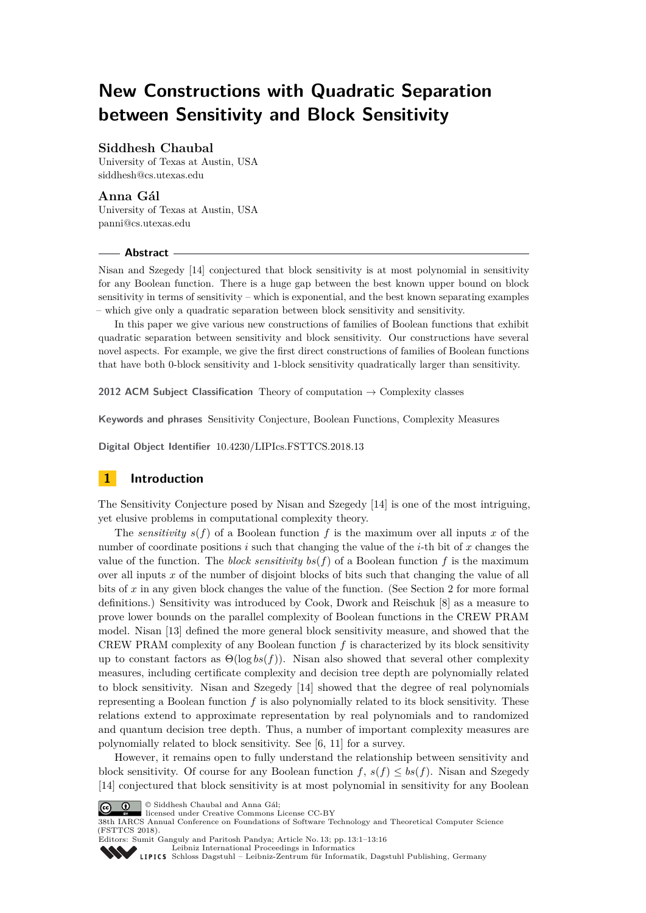# **New Constructions with Quadratic Separation between Sensitivity and Block Sensitivity**

## **Siddhesh Chaubal**

University of Texas at Austin, USA [siddhesh@cs.utexas.edu](mailto:siddhesh@cs.utexas.edu)

## **Anna Gál**

University of Texas at Austin, USA [panni@cs.utexas.edu](mailto:panni@cs.utexas.edu)

#### **Abstract**

Nisan and Szegedy [\[14\]](#page-14-0) conjectured that block sensitivity is at most polynomial in sensitivity for any Boolean function. There is a huge gap between the best known upper bound on block sensitivity in terms of sensitivity – which is exponential, and the best known separating examples – which give only a quadratic separation between block sensitivity and sensitivity.

In this paper we give various new constructions of families of Boolean functions that exhibit quadratic separation between sensitivity and block sensitivity. Our constructions have several novel aspects. For example, we give the first direct constructions of families of Boolean functions that have both 0-block sensitivity and 1-block sensitivity quadratically larger than sensitivity.

**2012 ACM Subject Classification** Theory of computation → Complexity classes

**Keywords and phrases** Sensitivity Conjecture, Boolean Functions, Complexity Measures

**Digital Object Identifier** [10.4230/LIPIcs.FSTTCS.2018.13](https://doi.org/10.4230/LIPIcs.FSTTCS.2018.13)

## **1 Introduction**

The Sensitivity Conjecture posed by Nisan and Szegedy [\[14\]](#page-14-0) is one of the most intriguing, yet elusive problems in computational complexity theory.

The *sensitivity*  $s(f)$  of a Boolean function f is the maximum over all inputs x of the number of coordinate positions *i* such that changing the value of the *i*-th bit of *x* changes the value of the function. The *block sensitivity*  $bs(f)$  of a Boolean function  $f$  is the maximum over all inputs *x* of the number of disjoint blocks of bits such that changing the value of all bits of *x* in any given block changes the value of the function. (See Section [2](#page-2-0) for more formal definitions.) Sensitivity was introduced by Cook, Dwork and Reischuk [\[8\]](#page-14-1) as a measure to prove lower bounds on the parallel complexity of Boolean functions in the CREW PRAM model. Nisan [\[13\]](#page-14-2) defined the more general block sensitivity measure, and showed that the CREW PRAM complexity of any Boolean function *f* is characterized by its block sensitivity up to constant factors as  $\Theta(\log bs(f))$ . Nisan also showed that several other complexity measures, including certificate complexity and decision tree depth are polynomially related to block sensitivity. Nisan and Szegedy [\[14\]](#page-14-0) showed that the degree of real polynomials representing a Boolean function *f* is also polynomially related to its block sensitivity. These relations extend to approximate representation by real polynomials and to randomized and quantum decision tree depth. Thus, a number of important complexity measures are polynomially related to block sensitivity. See [\[6,](#page-14-3) [11\]](#page-14-4) for a survey.

However, it remains open to fully understand the relationship between sensitivity and block sensitivity. Of course for any Boolean function  $f, s(f) \leq bs(f)$ . Nisan and Szegedy [\[14\]](#page-14-0) conjectured that block sensitivity is at most polynomial in sensitivity for any Boolean





38th IARCS Annual Conference on Foundations of Software Technology and Theoretical Computer Science (FSTTCS 2018).

Editors: Sumit Ganguly and Paritosh Pandya; Article No. 13; pp. 13:1–13[:16](#page-15-0) [Leibniz International Proceedings in Informatics](http://www.dagstuhl.de/lipics/)



[Schloss Dagstuhl – Leibniz-Zentrum für Informatik, Dagstuhl Publishing, Germany](http://www.dagstuhl.de)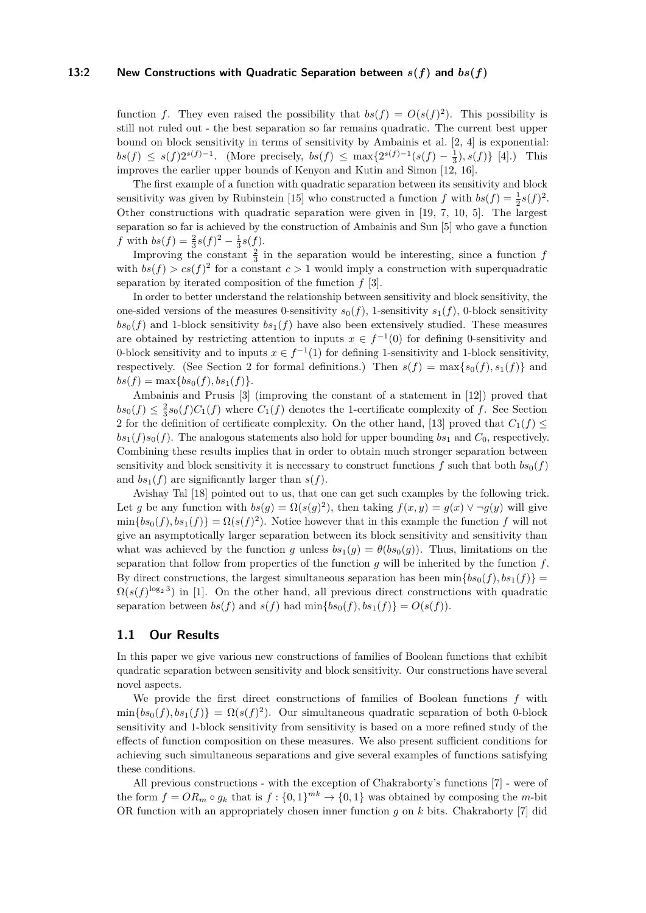#### **13:2** New Constructions with Quadratic Separation between  $s(f)$  and  $bs(f)$

function *f*. They even raised the possibility that  $bs(f) = O(s(f)^2)$ . This possibility is still not ruled out - the best separation so far remains quadratic. The current best upper bound on block sensitivity in terms of sensitivity by Ambainis et al. [\[2,](#page-14-5) [4\]](#page-14-6) is exponential:  $bs(f) ≤ s(f)2^{s(f)-1}$ . (More precisely,  $bs(f) ≤ max{2^{s(f)-1}(s(f) - \frac{1}{3}), s(f)} [4]$  $bs(f) ≤ max{2^{s(f)-1}(s(f) - \frac{1}{3}), s(f)} [4]$ .) This improves the earlier upper bounds of Kenyon and Kutin and Simon [\[12,](#page-14-7) [16\]](#page-15-1).

The first example of a function with quadratic separation between its sensitivity and block sensitivity was given by Rubinstein [\[15\]](#page-14-8) who constructed a function  $f$  with  $bs(f) = \frac{1}{2}s(f)^2$ . Other constructions with quadratic separation were given in [\[19,](#page-15-2) [7,](#page-14-9) [10,](#page-14-10) [5\]](#page-14-11). The largest separation so far is achieved by the construction of Ambainis and Sun [\[5\]](#page-14-11) who gave a function *f* with  $bs(f) = \frac{2}{3}s(f)^2 - \frac{1}{3}s(f)$ .

Improving the constant  $\frac{2}{3}$  in the separation would be interesting, since a function  $f$ with  $bs(f) > cs(f)^2$  for a constant  $c > 1$  would imply a construction with superquadratic separation by iterated composition of the function *f* [\[3\]](#page-14-12).

In order to better understand the relationship between sensitivity and block sensitivity, the one-sided versions of the measures 0-sensitivity  $s_0(f)$ , 1-sensitivity  $s_1(f)$ , 0-block sensitivity  $bs_0(f)$  and 1-block sensitivity  $bs_1(f)$  have also been extensively studied. These measures are obtained by restricting attention to inputs  $x \in f^{-1}(0)$  for defining 0-sensitivity and 0-block sensitivity and to inputs  $x \in f^{-1}(1)$  for defining 1-sensitivity and 1-block sensitivity, respectively. (See Section [2](#page-2-0) for formal definitions.) Then  $s(f) = \max\{s_0(f), s_1(f)\}\$  and  $bs(f) = \max\{bs_0(f), bs_1(f)\}.$ 

Ambainis and Prusis [\[3\]](#page-14-12) (improving the constant of a statement in [\[12\]](#page-14-7)) proved that  $bs_0(f) \leq \frac{2}{3} s_0(f) C_1(f)$  where  $C_1(f)$  denotes the 1-certificate complexity of *f*. See Section [2](#page-2-0) for the definition of certificate complexity. On the other hand, [\[13\]](#page-14-2) proved that  $C_1(f) \leq$  $bs_1(f)s_0(f)$ . The analogous statements also hold for upper bounding  $bs_1$  and  $C_0$ , respectively. Combining these results implies that in order to obtain much stronger separation between sensitivity and block sensitivity it is necessary to construct functions  $f$  such that both  $bs<sub>0</sub>(f)$ and  $bs_1(f)$  are significantly larger than  $s(f)$ .

Avishay Tal [\[18\]](#page-15-3) pointed out to us, that one can get such examples by the following trick. Let *g* be any function with  $bs(g) = \Omega(s(g)^2)$ , then taking  $f(x, y) = g(x) \vee \neg g(y)$  will give  $\min\{bs_0(f), bs_1(f)\} = \Omega(s(f)^2)$ . Notice however that in this example the function *f* will not give an asymptotically larger separation between its block sensitivity and sensitivity than what was achieved by the function *g* unless  $bs_1(g) = \theta(b s_0(g))$ . Thus, limitations on the separation that follow from properties of the function *g* will be inherited by the function *f*. By direct constructions, the largest simultaneous separation has been  $\min\{bs_0(f), bs_1(f)\}$  $\Omega(s(f)^{\log_2 3})$  in [\[1\]](#page-14-13). On the other hand, all previous direct constructions with quadratic separation between  $bs(f)$  and  $s(f)$  had  $\min\{bs_0(f), bs_1(f)\} = O(s(f)).$ 

#### **1.1 Our Results**

In this paper we give various new constructions of families of Boolean functions that exhibit quadratic separation between sensitivity and block sensitivity. Our constructions have several novel aspects.

We provide the first direct constructions of families of Boolean functions *f* with  $\min\{bs_0(f), bs_1(f)\} = \Omega(s(f)^2)$ . Our simultaneous quadratic separation of both 0-block sensitivity and 1-block sensitivity from sensitivity is based on a more refined study of the effects of function composition on these measures. We also present sufficient conditions for achieving such simultaneous separations and give several examples of functions satisfying these conditions.

All previous constructions - with the exception of Chakraborty's functions [\[7\]](#page-14-9) - were of the form  $f = OR_m \circ g_k$  that is  $f: \{0,1\}^{mk} \to \{0,1\}$  was obtained by composing the *m*-bit OR function with an appropriately chosen inner function *g* on *k* bits. Chakraborty [\[7\]](#page-14-9) did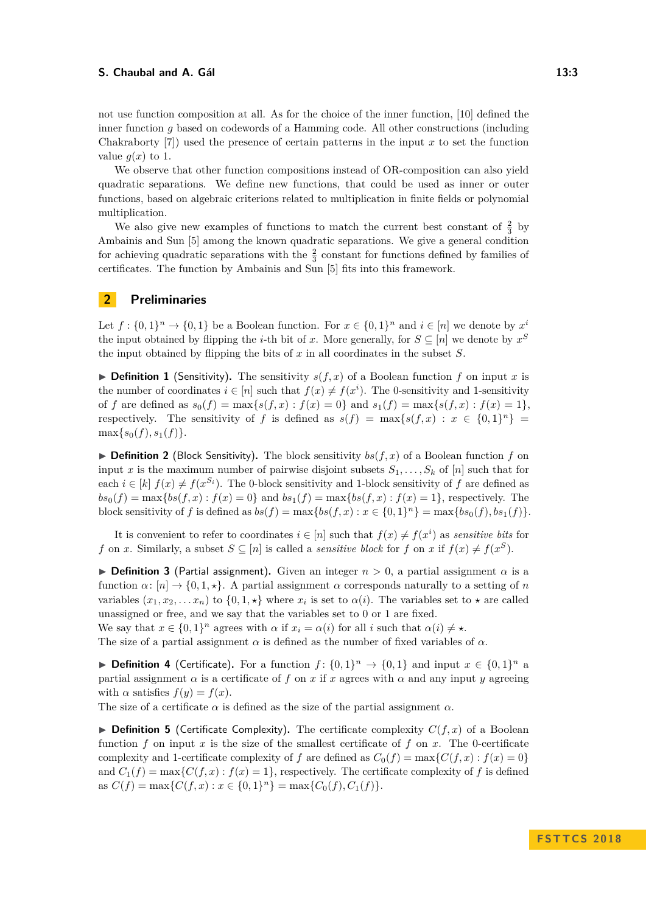We observe that other function compositions instead of OR-composition can also yield quadratic separations. We define new functions, that could be used as inner or outer functions, based on algebraic criterions related to multiplication in finite fields or polynomial multiplication.

We also give new examples of functions to match the current best constant of  $\frac{2}{3}$  by Ambainis and Sun [\[5\]](#page-14-11) among the known quadratic separations. We give a general condition for achieving quadratic separations with the  $\frac{2}{3}$  constant for functions defined by families of certificates. The function by Ambainis and Sun [\[5\]](#page-14-11) fits into this framework.

## <span id="page-2-0"></span>**2 Preliminaries**

Let  $f: \{0,1\}^n \to \{0,1\}$  be a Boolean function. For  $x \in \{0,1\}^n$  and  $i \in [n]$  we denote by  $x^i$ the input obtained by flipping the *i*-th bit of *x*. More generally, for  $S \subseteq [n]$  we denote by  $x^S$ the input obtained by flipping the bits of *x* in all coordinates in the subset *S*.

 $\triangleright$  **Definition 1** (Sensitivity). The sensitivity  $s(f, x)$  of a Boolean function *f* on input *x* is the number of coordinates  $i \in [n]$  such that  $f(x) \neq f(x^i)$ . The 0-sensitivity and 1-sensitivity of *f* are defined as  $s_0(f) = \max\{s(f, x) : f(x) = 0\}$  and  $s_1(f) = \max\{s(f, x) : f(x) = 1\}$ , respectively. The sensitivity of *f* is defined as  $s(f) = \max\{s(f, x) : x \in \{0, 1\}^n\}$  $\max\{s_0(f), s_1(f)\}.$ 

 $\triangleright$  **Definition 2** (Block Sensitivity). The block sensitivity  $bs(f, x)$  of a Boolean function f on input *x* is the maximum number of pairwise disjoint subsets  $S_1, \ldots, S_k$  of [*n*] such that for each  $i \in [k]$   $f(x) \neq f(x^{S_i})$ . The 0-block sensitivity and 1-block sensitivity of f are defined as  $bs_0(f) = \max\{bs(f, x) : f(x) = 0\}$  and  $bs_1(f) = \max\{bs(f, x) : f(x) = 1\}$ , respectively. The block sensitivity of *f* is defined as  $bs(f) = \max\{bs(f, x) : x \in \{0, 1\}^n\} = \max\{bs_0(f), bs_1(f)\}.$ 

It is convenient to refer to coordinates  $i \in [n]$  such that  $f(x) \neq f(x^i)$  as *sensitive bits* for *f* on *x*. Similarly, a subset  $S \subseteq [n]$  is called a *sensitive block* for *f* on *x* if  $f(x) \neq f(x^S)$ .

**Definition 3** (Partial assignment). Given an integer  $n > 0$ , a partial assignment  $\alpha$  is a function  $\alpha$ :  $[n] \rightarrow \{0, 1, \star\}$ . A partial assignment  $\alpha$  corresponds naturally to a setting of *n* variables  $(x_1, x_2, \ldots, x_n)$  to  $\{0, 1, \star\}$  where  $x_i$  is set to  $\alpha(i)$ . The variables set to  $\star$  are called unassigned or free, and we say that the variables set to 0 or 1 are fixed.

We say that  $x \in \{0,1\}^n$  agrees with  $\alpha$  if  $x_i = \alpha(i)$  for all *i* such that  $\alpha(i) \neq \star$ .

The size of a partial assignment  $\alpha$  is defined as the number of fixed variables of  $\alpha$ .

▶ **Definition 4** (Certificate). For a function  $f: \{0,1\}^n \to \{0,1\}$  and input  $x \in \{0,1\}^n$  a partial assignment  $\alpha$  is a certificate of f on x if x agrees with  $\alpha$  and any input y agreeing with  $\alpha$  satisfies  $f(y) = f(x)$ .

The size of a certificate  $\alpha$  is defined as the size of the partial assignment  $\alpha$ .

 $\triangleright$  **Definition 5** (Certificate Complexity). The certificate complexity  $C(f, x)$  of a Boolean function  $f$  on input  $x$  is the size of the smallest certificate of  $f$  on  $x$ . The 0-certificate complexity and 1-certificate complexity of *f* are defined as  $C_0(f) = \max\{C(f, x) : f(x) = 0\}$ and  $C_1(f) = \max\{C(f, x) : f(x) = 1\}$ , respectively. The certificate complexity of f is defined as  $C(f) = \max\{C(f, x) : x \in \{0, 1\}^n\} = \max\{C_0(f), C_1(f)\}.$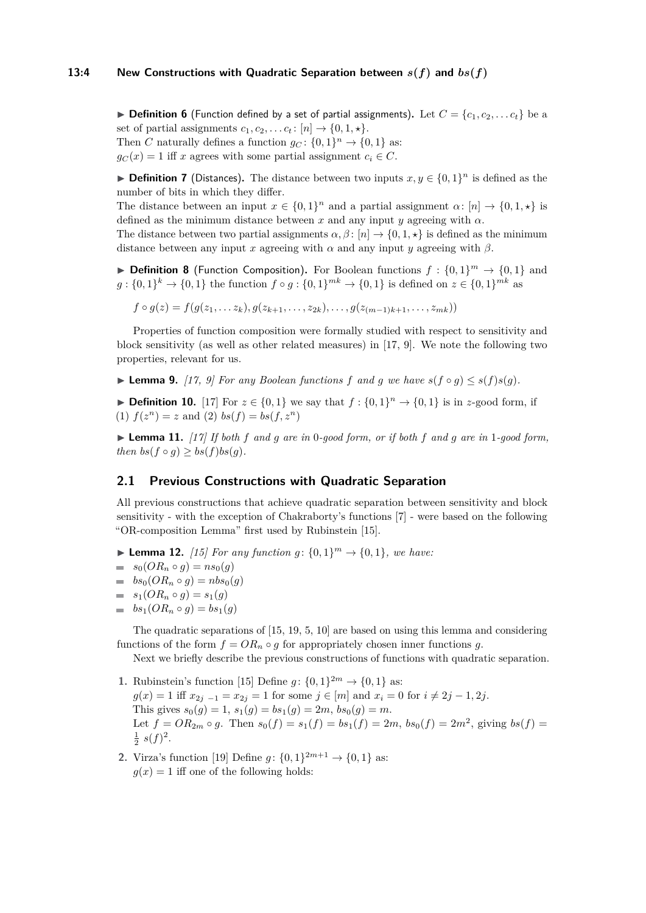#### **13:4** New Constructions with Quadratic Separation between  $s(f)$  and  $bs(f)$

 $\triangleright$  **Definition 6** (Function defined by a set of partial assignments). Let  $C = \{c_1, c_2, \ldots c_t\}$  be a set of partial assignments  $c_1, c_2, \ldots c_t$ :  $[n] \rightarrow \{0, 1, \star\}.$ Then *C* naturally defines a function  $g_C: \{0, 1\}^n \to \{0, 1\}$  as:  $g_C(x) = 1$  iff *x* agrees with some partial assignment  $c_i \in C$ .

**► Definition 7** (Distances). The distance between two inputs  $x, y \in \{0, 1\}^n$  is defined as the number of bits in which they differ.

The distance between an input  $x \in \{0,1\}^n$  and a partial assignment  $\alpha$ :  $[n] \to \{0,1,\star\}$  is defined as the minimum distance between  $x$  and any input  $y$  agreeing with  $\alpha$ .

The distance between two partial assignments  $\alpha$ ,  $\beta$ : [*n*]  $\rightarrow$  {0, 1,  $\star$ } is defined as the minimum distance between any input *x* agreeing with  $\alpha$  and any input *y* agreeing with  $\beta$ .

**Definition 8** (Function Composition). For Boolean functions  $f: \{0,1\}^m \to \{0,1\}$  and  $g: \{0,1\}^k \to \{0,1\}$  the function  $f \circ g: \{0,1\}^{mk} \to \{0,1\}$  is defined on  $z \in \{0,1\}^{mk}$  as

 $f \circ q(z) = f(q(z_1, \ldots, z_k), q(z_{k+1}, \ldots, z_{2k}), \ldots, g(z_{(m-1)k+1}, \ldots, z_{mk}))$ 

Properties of function composition were formally studied with respect to sensitivity and block sensitivity (as well as other related measures) in [\[17,](#page-15-4) [9\]](#page-14-14). We note the following two properties, relevant for us.

▶ **Lemma 9.** [\[17,](#page-15-4) [9\]](#page-14-14) For any Boolean functions f and g we have  $s(f \circ g) \leq s(f)s(g)$ .

▶ **Definition 10.** [\[17\]](#page-15-4) For  $z \in \{0,1\}$  we say that  $f : \{0,1\}^n \to \{0,1\}$  is in *z*-good form, if  $f(z^n) = z$  and  $(2)$   $bs(f) = bs(f, z^n)$ 

<span id="page-3-0"></span>**Example 11.** [\[17\]](#page-15-4) If both f and g are in 0-good form, or if both f and g are in 1-good form, *then*  $bs(f \circ g) \geq bs(f)bs(g)$ .

## **2.1 Previous Constructions with Quadratic Separation**

All previous constructions that achieve quadratic separation between sensitivity and block sensitivity - with the exception of Chakraborty's functions [\[7\]](#page-14-9) - were based on the following "OR-composition Lemma" first used by Rubinstein [\[15\]](#page-14-8).

- ▶ **Lemma 12.** [\[15\]](#page-14-8) For any function  $g: \{0, 1\}^m \to \{0, 1\}$ , we have:
- $= s_0(OR_n \circ g) = ns_0(g)$
- $\Rightarrow$   $bs_0(OR_n \circ q) = nbs_0(q)$
- $= s_1(OR_n \circ g) = s_1(g)$
- $\bullet$  *bs*<sub>1</sub>(*OR*<sub>*n*</sub>  $\circ$  *g*) = *bs*<sub>1</sub>(*g*)

The quadratic separations of [\[15,](#page-14-8) [19,](#page-15-2) [5,](#page-14-11) [10\]](#page-14-10) are based on using this lemma and considering functions of the form  $f = OR_n \circ g$  for appropriately chosen inner functions g.

Next we briefly describe the previous constructions of functions with quadratic separation.

- **1.** Rubinstein's function [\[15\]](#page-14-8) Define  $g: \{0, 1\}^{2m} \to \{0, 1\}$  as:  $g(x) = 1$  iff  $x_{2i-1} = x_{2i} = 1$  for some  $j \in [m]$  and  $x_i = 0$  for  $i \neq 2j - 1, 2j$ . This gives  $s_0(g) = 1$ ,  $s_1(g) = bs_1(g) = 2m$ ,  $bs_0(g) = m$ . Let  $f = OR_{2m} \circ g$ . Then  $s_0(f) = s_1(f) = bs_1(f) = 2m$ ,  $bs_0(f) = 2m^2$ , giving  $bs(f) =$  $\frac{1}{2} s(f)^2$ .
- **2.** Virza's function [\[19\]](#page-15-2) Define  $g: \{0, 1\}^{2m+1} \to \{0, 1\}$  as:  $g(x) = 1$  iff one of the following holds: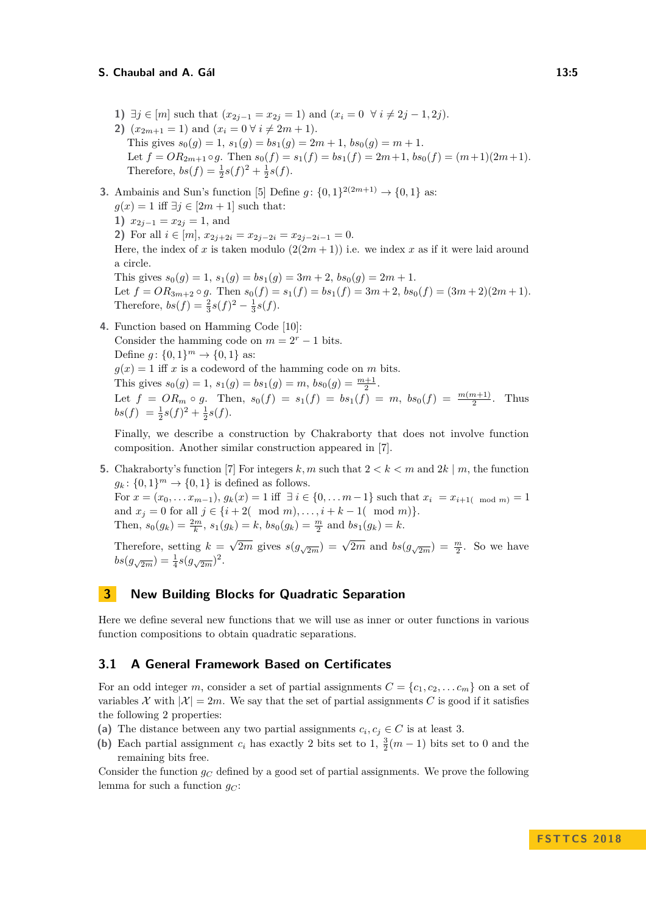- **1)** ∃*j* ∈ [*m*] such that  $(x_{2j-1} = x_{2j} = 1)$  and  $(x_i = 0 \ \forall i \neq 2j 1, 2j)$ . **2)**  $(x_{2m+1} = 1)$  and  $(x_i = 0 \forall i \neq 2m+1)$ . This gives  $s_0(g) = 1$ ,  $s_1(g) = bs_1(g) = 2m + 1$ ,  $bs_0(g) = m + 1$ . Let  $f = OR_{2m+1} \circ g$ . Then  $s_0(f) = s_1(f) = bs_1(f) = 2m+1$ ,  $bs_0(f) = (m+1)(2m+1)$ . Therefore,  $bs(f) = \frac{1}{2}s(f)^2 + \frac{1}{2}s(f)$ .
- **3.** Ambainis and Sun's function [\[5\]](#page-14-11) Define  $g: \{0, 1\}^{2(2m+1)} \to \{0, 1\}$  as:  $g(x) = 1$  iff  $\exists j \in [2m + 1]$  such that: **1)**  $x_{2j-1} = x_{2j} = 1$ , and **2)** For all  $i \in [m]$ ,  $x_{2i+2i} = x_{2i-2i} = x_{2i-2i-1} = 0$ . Here, the index of x is taken modulo  $(2(2m + 1))$  i.e. we index x as if it were laid around a circle. This gives  $s_0(g) = 1$ ,  $s_1(g) = bs_1(g) = 3m + 2$ ,  $bs_0(g) = 2m + 1$ . Let  $f = OR_{3m+2} \circ g$ . Then  $s_0(f) = s_1(f) = bs_1(f) = 3m+2$ ,  $bs_0(f) = (3m+2)(2m+1)$ . Therefore,  $bs(f) = \frac{2}{3}s(f)^2 - \frac{1}{3}s(f)$ .
- **4.** Function based on Hamming Code [\[10\]](#page-14-10): Consider the hamming code on  $m = 2<sup>r</sup> - 1$  bits. Define  $g: \{0, 1\}^m \to \{0, 1\}$  as:  $g(x) = 1$  iff *x* is a codeword of the hamming code on *m* bits. This gives  $s_0(g) = 1$ ,  $s_1(g) = bs_1(g) = m$ ,  $bs_0(g) = \frac{m+1}{2}$ . Let  $f = OR_m \circ g$ . Then,  $s_0(f) = s_1(f) = bs_1(f) = m$ ,  $bs_0(f) = \frac{m(m+1)}{2}$ . Thus  $bs(f) = \frac{1}{2}s(f)^2 + \frac{1}{2}s(f).$

Finally, we describe a construction by Chakraborty that does not involve function composition. Another similar construction appeared in [\[7\]](#page-14-9).

**5.** Chakraborty's function [\[7\]](#page-14-9) For integers k, m such that  $2 < k < m$  and  $2k \mid m$ , the function  $g_k: \{0,1\}^m \to \{0,1\}$  is defined as follows. For  $x = (x_0, \ldots, x_{m-1}), g_k(x) = 1$  iff  $\exists i \in \{0, \ldots m-1\}$  such that  $x_i = x_{i+1}$  mod  $m \ge 1$ and  $x_j = 0$  for all  $j \in \{i + 2(\mod m), \dots, i + k - 1(\mod m)\}.$ Then,  $s_0(g_k) = \frac{2m}{k}$ ,  $s_1(g_k) = k$ ,  $bs_0(g_k) = \frac{m}{2}$  and  $bs_1(g_k) = k$ .

Therefore, setting  $k =$  $\sqrt{2m}$  gives  $s(g_{\sqrt{2m}}) = \sqrt{2m}$  and  $bs(g_{\sqrt{2m}}) = \frac{m}{2}$ . So we have  $bs(g_{\sqrt{2m}}) = \frac{1}{4} s(g_{\sqrt{2m}})^2$ .

## **3 New Building Blocks for Quadratic Separation**

Here we define several new functions that we will use as inner or outer functions in various function compositions to obtain quadratic separations.

## **3.1 A General Framework Based on Certificates**

For an odd integer *m*, consider a set of partial assignments  $C = \{c_1, c_2, \ldots c_m\}$  on a set of variables X with  $|\mathcal{X}| = 2m$ . We say that the set of partial assignments C is good if it satisfies the following 2 properties:

- (a) The distance between any two partial assignments  $c_i, c_j \in C$  is at least 3.
- (**b**) Each partial assignment  $c_i$  has exactly 2 bits set to 1,  $\frac{3}{2}(m-1)$  bits set to 0 and the remaining bits free.

Consider the function *g<sup>C</sup>* defined by a good set of partial assignments. We prove the following lemma for such a function  $q_C$ :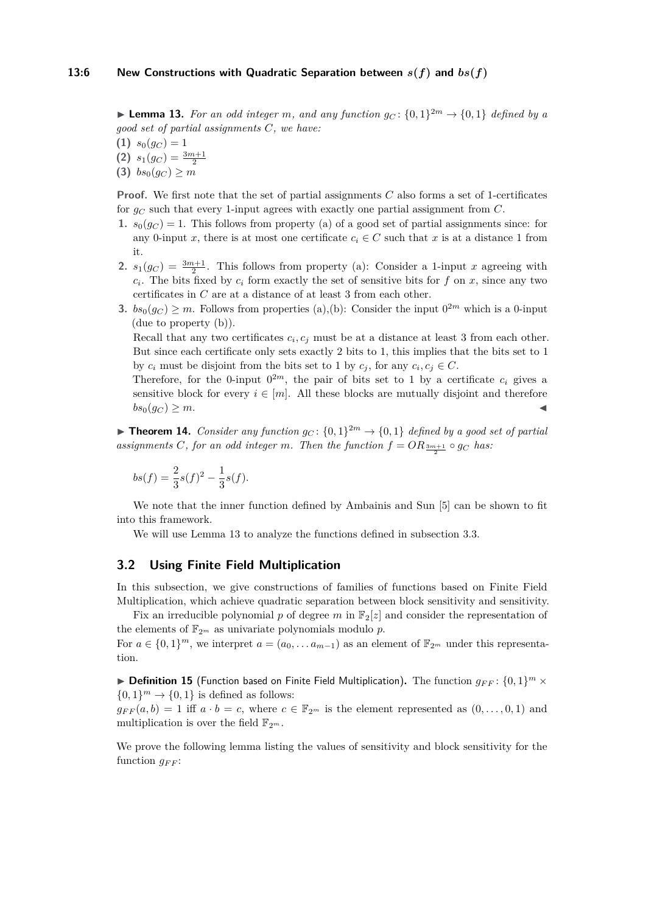<span id="page-5-0"></span>**Example 13.** For an odd integer *m*, and any function  $g_C$ :  $\{0,1\}^{2m} \rightarrow \{0,1\}$  defined by a *good set of partial assignments C, we have:*

(1)  $s_0(g_C) = 1$ **(2)**  $s_1(g_C) = \frac{3m+1}{2}$ 

**(3)**  $bs_0(g_C) \geq m$ 

**Proof.** We first note that the set of partial assignments *C* also forms a set of 1-certificates for *g<sup>C</sup>* such that every 1-input agrees with exactly one partial assignment from *C*.

- **1.**  $s_0(g_C) = 1$ . This follows from property (a) of a good set of partial assignments since: for any 0-input *x*, there is at most one certificate  $c_i \in C$  such that *x* is at a distance 1 from it.
- **2.**  $s_1(g_C) = \frac{3m+1}{2}$ . This follows from property (a): Consider a 1-input *x* agreeing with  $c_i$ . The bits fixed by  $c_i$  form exactly the set of sensitive bits for  $f$  on  $x$ , since any two certificates in *C* are at a distance of at least 3 from each other.
- **3.**  $bs_0(g_C) \geq m$ . Follows from properties (a),(b): Consider the input  $0^{2m}$  which is a 0-input (due to property (b)).

Recall that any two certificates  $c_i$ ,  $c_j$  must be at a distance at least 3 from each other. But since each certificate only sets exactly 2 bits to 1, this implies that the bits set to 1 by  $c_i$  must be disjoint from the bits set to 1 by  $c_j$ , for any  $c_i, c_j \in C$ .

Therefore, for the 0-input  $0^{2m}$ , the pair of bits set to 1 by a certificate  $c_i$  gives a sensitive block for every  $i \in [m]$ . All these blocks are mutually disjoint and therefore  $bs_0(g_C) \geq m$ .

**Theorem 14.** *Consider any function*  $g_C: \{0,1\}^{2m} \to \{0,1\}$  *defined by a good set of partial* assignments *C*, for an odd integer *m*. Then the function  $f = OR_{\frac{3m+1}{2}} \circ g_C$  has:

$$
bs(f) = \frac{2}{3}s(f)^2 - \frac{1}{3}s(f).
$$

We note that the inner function defined by Ambainis and Sun [\[5\]](#page-14-11) can be shown to fit into this framework.

We will use Lemma [13](#page-5-0) to analyze the functions defined in subsection [3.3.](#page-7-0)

## **3.2 Using Finite Field Multiplication**

In this subsection, we give constructions of families of functions based on Finite Field Multiplication, which achieve quadratic separation between block sensitivity and sensitivity.

Fix an irreducible polynomial p of degree m in  $\mathbb{F}_2[z]$  and consider the representation of the elements of  $\mathbb{F}_{2^m}$  as univariate polynomials modulo p. For  $a \in \{0,1\}^m$ , we interpret  $a = (a_0, \ldots a_{m-1})$  as an element of  $\mathbb{F}_{2^m}$  under this representation.

 $\blacktriangleright$  **Definition 15** (Function based on Finite Field Multiplication). The function  $g_{FF}$ :  $\{0,1\}^m$   $\times$  $\{0,1\}$ <sup>m</sup>  $\rightarrow \{0,1\}$  is defined as follows:

 $g_{FF}(a, b) = 1$  iff  $a \cdot b = c$ , where  $c \in \mathbb{F}_{2^m}$  is the element represented as  $(0, \ldots, 0, 1)$  and multiplication is over the field  $\mathbb{F}_{2^m}$ .

We prove the following lemma listing the values of sensitivity and block sensitivity for the function  $q_{FF}$ :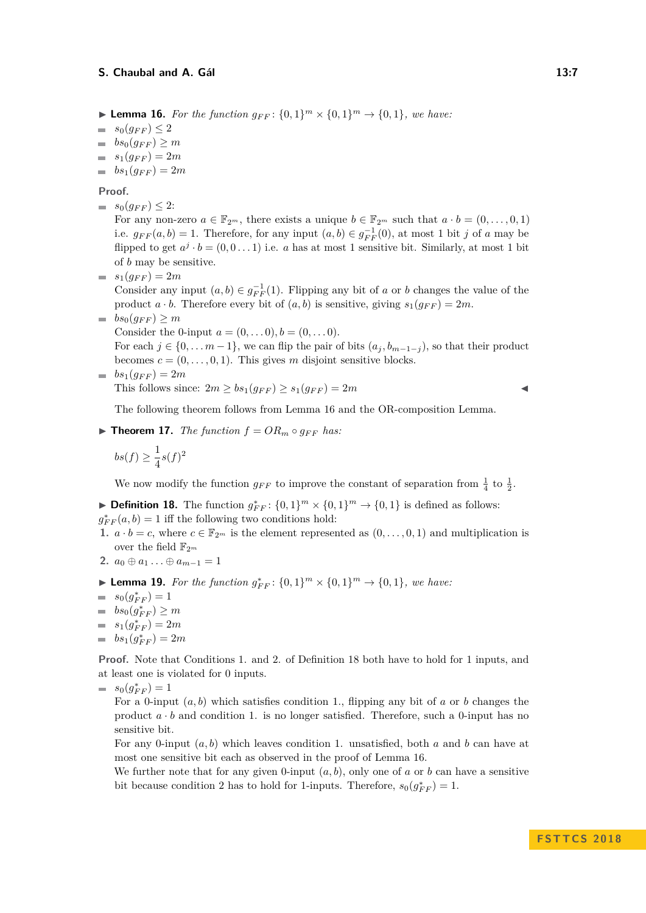<span id="page-6-0"></span>▶ **Lemma 16.** *For the function*  $g_{FF}$ :  $\{0,1\}^m \times \{0,1\}^m$  →  $\{0,1\}$ *, we have:* 

- $= s_0(q_{FF}) \leq 2$
- $b s_0(q_{FF}) > m$
- $s_1(g_{FF}) = 2m$
- $bs_1(g_{FF}) = 2m$

**Proof.**

 $= s_0(g_{FF}) \leq 2$ :

For any non-zero  $a \in \mathbb{F}_{2^m}$ , there exists a unique  $b \in \mathbb{F}_{2^m}$  such that  $a \cdot b = (0, \ldots, 0, 1)$ i.e.  $g_{FF}(a, b) = 1$ . Therefore, for any input  $(a, b) \in g_{FF}^{-1}(0)$ , at most 1 bit *j* of *a* may be flipped to get  $a^j \cdot b = (0, 0 \dots 1)$  i.e. *a* has at most 1 sensitive bit. Similarly, at most 1 bit of *b* may be sensitive.

 $s_1(g_{FF}) = 2m$ 

Consider any input  $(a, b) \in g_{FF}^{-1}(1)$ . Flipping any bit of *a* or *b* changes the value of the product  $a \cdot b$ . Therefore every bit of  $(a, b)$  is sensitive, giving  $s_1(q_{FF}) = 2m$ .

 $b s_0(g_{FF}) \geq m$ 

Consider the 0-input  $a = (0, \ldots 0), b = (0, \ldots 0)$ .

For each  $j \in \{0, \ldots m-1\}$ , we can flip the pair of bits  $(a_j, b_{m-1-j})$ , so that their product becomes  $c = (0, \ldots, 0, 1)$ . This gives *m* disjoint sensitive blocks.

 $b s_1(q_{FF}) = 2m$ This follows since:  $2m \geq bs_1(q_{FF}) \geq s_1(q_{FF}) = 2m$ 

The following theorem follows from Lemma [16](#page-6-0) and the OR-composition Lemma.

 $\blacktriangleright$  **Theorem 17.** *The function*  $f = OR_m \circ g_{FF}$  *has:* 

$$
bs(f) \ge \frac{1}{4}s(f)^2
$$

We now modify the function  $g_{FF}$  to improve the constant of separation from  $\frac{1}{4}$  to  $\frac{1}{2}$ .

<span id="page-6-1"></span>► **Definition 18.** The function  $g_{FF}^*$ :  $\{0,1\}^m \times \{0,1\}^m \rightarrow \{0,1\}$  is defined as follows:  $g_{FF}^*(a, b) = 1$  iff the following two conditions hold:

- **1.**  $a \cdot b = c$ , where  $c \in \mathbb{F}_{2^m}$  is the element represented as  $(0, \ldots, 0, 1)$  and multiplication is over the field  $\mathbb{F}_{2^m}$
- **2.**  $a_0 \oplus a_1 \ldots \oplus a_{m-1} = 1$
- <span id="page-6-2"></span>▶ **Lemma 19.** *For the function*  $g_{FF}^*$ :  $\{0,1\}^m$  ×  $\{0,1\}^m$  →  $\{0,1\}$ *, we have:*
- $s_0(g_{FF}^*) = 1$
- $bs_0(g_{FF}^*) \geq m$
- $s_1(g_{FF}^*) = 2m$
- $bs_1(g_{FF}^*) = 2m$

**Proof.** Note that Conditions 1. and 2. of Definition [18](#page-6-1) both have to hold for 1 inputs, and at least one is violated for 0 inputs.

 $s_0(g_{FF}^*) = 1$ 

For a 0-input (*a, b*) which satisfies condition 1., flipping any bit of *a* or *b* changes the product  $a \cdot b$  and condition 1. is no longer satisfied. Therefore, such a 0-input has no sensitive bit.

For any 0-input (*a, b*) which leaves condition 1. unsatisfied, both *a* and *b* can have at most one sensitive bit each as observed in the proof of Lemma [16.](#page-6-0)

We further note that for any given 0-input  $(a, b)$ , only one of *a* or *b* can have a sensitive bit because condition 2 has to hold for 1-inputs. Therefore,  $s_0(g_{FF}^*) = 1$ .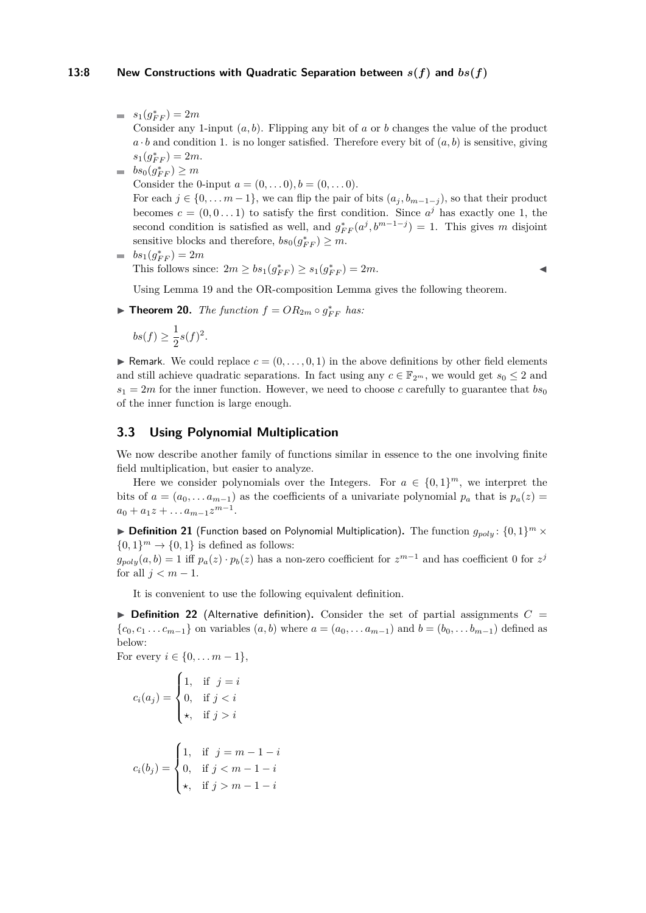#### **13:8** New Constructions with Quadratic Separation between  $s(f)$  and  $bs(f)$

 $s_1(g_{FF}^*) = 2m$ 

Consider any 1-input  $(a, b)$ . Flipping any bit of  $a$  or  $b$  changes the value of the product  $a \cdot b$  and condition 1. is no longer satisfied. Therefore every bit of  $(a, b)$  is sensitive, giving  $s_1(g_{FF}^*) = 2m$ .

 $bs_0(g_{FF}^*) \geq m$ 

Consider the 0-input  $a = (0, \ldots, 0), b = (0, \ldots, 0)$ .

For each  $j \in \{0, \ldots m-1\}$ , we can flip the pair of bits  $(a_j, b_{m-1-j})$ , so that their product becomes  $c = (0, 0, \ldots 1)$  to satisfy the first condition. Since  $a^j$  has exactly one 1, the second condition is satisfied as well, and  $g_{FF}^*(a^j, b^{m-1-j}) = 1$ . This gives *m* disjoint sensitive blocks and therefore,  $bs_0(g_{FF}^*) \geq m$ .

 $bs_1(g_{FF}^*) = 2m$ m. This follows since:  $2m \ge bs_1(g_{FF}^*) \ge s_1(g_{FF}^*) = 2m$ .

Using Lemma [19](#page-6-2) and the OR-composition Lemma gives the following theorem.

▶ **Theorem 20.** *The function*  $f = OR_{2m} \circ g_{FF}^*$  *has:* 

$$
bs(f) \ge \frac{1}{2}s(f)^2.
$$

**F** Remark. We could replace  $c = (0, \ldots, 0, 1)$  in the above definitions by other field elements and still achieve quadratic separations. In fact using any  $c \in \mathbb{F}_{2^m}$ , we would get  $s_0 \leq 2$  and  $s_1 = 2m$  for the inner function. However, we need to choose *c* carefully to guarantee that  $b s_0$ of the inner function is large enough.

## <span id="page-7-0"></span>**3.3 Using Polynomial Multiplication**

We now describe another family of functions similar in essence to the one involving finite field multiplication, but easier to analyze.

Here we consider polynomials over the Integers. For  $a \in \{0,1\}^m$ , we interpret the bits of  $a = (a_0, \ldots a_{m-1})$  as the coefficients of a univariate polynomial  $p_a$  that is  $p_a(z)$  $a_0 + a_1 z + \ldots a_{m-1} z^{m-1}$ .

 $\blacktriangleright$  **Definition 21** (Function based on Polynomial Multiplication). The function  $g_{poly}: \{0,1\}^m \times$  $\{0,1\}$ <sup>m</sup>  $\rightarrow \{0,1\}$  is defined as follows:

 $g_{poly}(a, b) = 1$  iff  $p_a(z) \cdot p_b(z)$  has a non-zero coefficient for  $z^{m-1}$  and has coefficient 0 for  $z^j$ for all  $j < m - 1$ .

It is convenient to use the following equivalent definition.

 $\triangleright$  **Definition 22** (Alternative definition). Consider the set of partial assignments  $C =$  ${c_0, c_1, \ldots, c_{m-1}}$  on variables  $(a, b)$  where  $a = (a_0, \ldots, a_{m-1})$  and  $b = (b_0, \ldots, b_{m-1})$  defined as below:

For every  $i \in \{0, ..., m-1\},\$ 

$$
c_i(a_j) = \begin{cases} 1, & \text{if } j = i \\ 0, & \text{if } j < i \\ \star, & \text{if } j > i \end{cases}
$$
\n
$$
c_i(b_j) = \begin{cases} 1, & \text{if } j = m - 1 - i \\ 0, & \text{if } j < m - 1 - i \\ \star, & \text{if } j > m - 1 - i \end{cases}
$$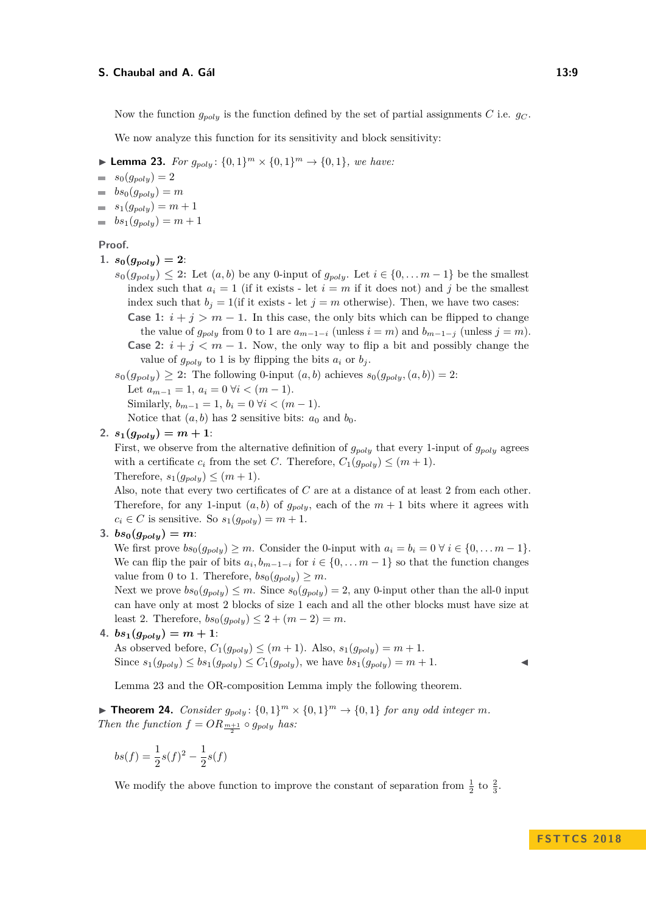Now the function  $g_{poly}$  is the function defined by the set of partial assignments *C* i.e.  $g_C$ .

We now analyze this function for its sensitivity and block sensitivity:

<span id="page-8-0"></span>▶ **Lemma 23.** *For*  $g_{poly}$ :  $\{0,1\}^m$  ×  $\{0,1\}^m$  →  $\{0,1\}$ *, we have:* 

 $s_0(g_{poly}) = 2$  $\equiv$ 

- $\bullet$  *bs*<sub>0</sub> $(g_{poly}) = m$
- $s_1(g_{poly}) = m + 1$
- $b s_1(q_{\textit{poly}}) = m + 1$

#### **Proof.**

- 1.  $s_0(g_{poly})=2$ :
	- $s_0(g_{poly}) ≤ 2$ : Let  $(a, b)$  be any 0-input of  $g_{poly}$ . Let  $i ∈ \{0, \ldots m-1\}$  be the smallest index such that  $a_i = 1$  (if it exists - let  $i = m$  if it does not) and j be the smallest index such that  $b_j = 1$  (if it exists - let  $j = m$  otherwise). Then, we have two cases:

**Case 1:**  $i + j > m - 1$ . In this case, the only bits which can be flipped to change the value of  $g_{poly}$  from 0 to 1 are  $a_{m-1-i}$  (unless  $i = m$ ) and  $b_{m-1-j}$  (unless  $j = m$ ). **Case 2:**  $i + j \leq m - 1$ . Now, the only way to flip a bit and possibly change the value of  $g_{poly}$  to 1 is by flipping the bits  $a_i$  or  $b_j$ .

 $s_0(g_{poly},(a,b)) \geq 2$ : The following 0-input  $(a,b)$  achieves  $s_0(g_{poly},(a,b)) = 2$ : Let  $a_{m-1} = 1, a_i = 0 \forall i < (m-1)$ . Similarly,  $b_{m-1} = 1$ ,  $b_i = 0 \ \forall i < (m-1)$ . Notice that  $(a, b)$  has 2 sensitive bits:  $a_0$  and  $b_0$ .

2.  $s_1(g_{poly}) = m + 1$ :

First, we observe from the alternative definition of *gpoly* that every 1-input of *gpoly* agrees with a certificate  $c_i$  from the set *C*. Therefore,  $C_1(g_{\text{poly}}) \leq (m+1)$ . Therefore,  $s_1(g_{poly}) \leq (m+1)$ .

Also, note that every two certificates of *C* are at a distance of at least 2 from each other. Therefore, for any 1-input  $(a, b)$  of  $g_{poly}$ , each of the  $m + 1$  bits where it agrees with  $c_i \in C$  is sensitive. So  $s_1(g_{poly}) = m + 1$ .

3.  $bs_0(g_{poly}) = m$ 

We first prove  $bs_0(g_{poly}) \geq m$ . Consider the 0-input with  $a_i = b_i = 0 \ \forall i \in \{0, \ldots m-1\}.$ We can flip the pair of bits  $a_i, b_{m-1-i}$  for  $i \in \{0, \ldots m-1\}$  so that the function changes value from 0 to 1. Therefore,  $bs_0(g_{poly}) \geq m$ .

Next we prove  $bs_0(g_{poly}) \leq m$ . Since  $s_0(g_{poly}) = 2$ , any 0-input other than the all-0 input can have only at most 2 blocks of size 1 each and all the other blocks must have size at least 2. Therefore,  $bs_0(g_{poly}) \leq 2 + (m-2) = m$ .

4. 
$$
bs_1(g_{poly}) = m + 1
$$
:

As observed before,  $C_1(g_{poly}) \leq (m+1)$ . Also,  $s_1(g_{poly}) = m+1$ . Since  $s_1(g_{poly}) \le bs_1(g_{poly}) \le C_1(g_{poly})$ , we have  $bs_1(g_{poly}) = m + 1$ .

Lemma [23](#page-8-0) and the OR-composition Lemma imply the following theorem.

▶ **Theorem 24.** *Consider*  $g_{poly}$ :  $\{0,1\}^m$  ×  $\{0,1\}^m$  →  $\{0,1\}$  *for any odd integer m. Then the function*  $f = OR_{\frac{m+1}{2}} \circ g_{poly}$  *has:* 

$$
bs(f) = \frac{1}{2}s(f)^2 - \frac{1}{2}s(f)
$$

We modify the above function to improve the constant of separation from  $\frac{1}{2}$  to  $\frac{2}{3}$ .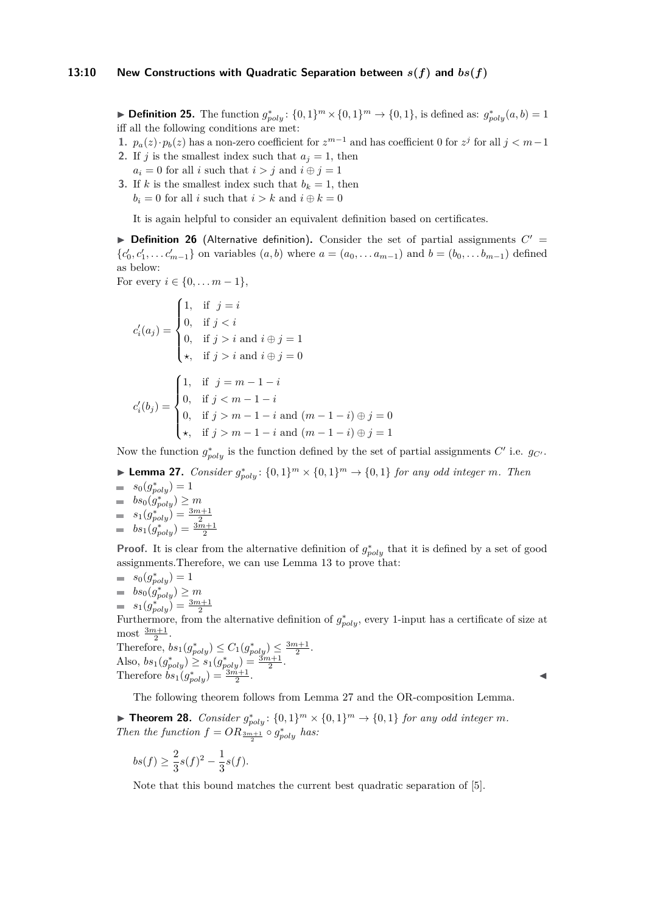► **Definition 25.** The function  $g_{poly}^*$ :  $\{0,1\}^m \times \{0,1\}^m \rightarrow \{0,1\}$ , is defined as:  $g_{poly}^*(a, b) = 1$ iff all the following conditions are met:

**1.**  $p_a(z) \cdot p_b(z)$  has a non-zero coefficient for  $z^{m-1}$  and has coefficient 0 for  $z^j$  for all  $j < m-1$ 

- **2.** If *j* is the smallest index such that  $a_j = 1$ , then  $a_i = 0$  for all *i* such that  $i > j$  and  $i \oplus j = 1$
- **3.** If *k* is the smallest index such that  $b_k = 1$ , then  $b_i = 0$  for all *i* such that  $i > k$  and  $i \oplus k = 0$

It is again helpful to consider an equivalent definition based on certificates.

**Definition 26** (Alternative definition). Consider the set of partial assignments  $C'$  =  ${c'_0, c'_1, \ldots c'_{m-1}}$  on variables  $(a, b)$  where  $a = (a_0, \ldots a_{m-1})$  and  $b = (b_0, \ldots b_{m-1})$  defined as below:

For every  $i \in \{0, ..., m-1\},\$ 

$$
c'_{i}(a_{j}) = \begin{cases} 1, & \text{if } j = i \\ 0, & \text{if } j < i \\ 0, & \text{if } j > i \text{ and } i \oplus j = 1 \\ \star, & \text{if } j > i \text{ and } i \oplus j = 0 \end{cases}
$$

$$
c'_{i}(b_{j}) = \begin{cases} 1, & \text{if } j = m - 1 - i \\ 0, & \text{if } j < m - 1 - i \\ 0, & \text{if } j > m - 1 - i \text{ and } (m - 1 - i) \oplus j = 0 \\ \star, & \text{if } j > m - 1 - i \text{ and } (m - 1 - i) \oplus j = 1 \end{cases}
$$

Now the function  $g_{poly}^*$  is the function defined by the set of partial assignments  $C'$  i.e.  $g_{C'}$ .

- <span id="page-9-0"></span>▶ **Lemma 27.** *Consider*  $g_{poly}^*$ :  $\{0,1\}^m$  ×  $\{0,1\}^m$  →  $\{0,1\}$  *for any odd integer m. Then*  $s_0(g_{poly}^*) = 1$
- $bs_0(g_{poly}^*) \geq m$  $s_1(g_{poly}^*) = \frac{3m+1}{2}$  $bs_1(g_{poly}^*) = \frac{3m+1}{2}$

**Proof.** It is clear from the alternative definition of  $g_{poly}^*$  that it is defined by a set of good assignments.Therefore, we can use Lemma [13](#page-5-0) to prove that:

 $s_0(g_{poly}^*) = 1$  $bs_0(g_{poly}^*) \geq m$  $s_1(g_{poly}^*) = \frac{3m+1}{2}$ 

Furthermore, from the alternative definition of  $g_{poly}^*$ , every 1-input has a certificate of size at most  $\frac{3m+1}{2}$ .

Therefore, 
$$
bs_1(g_{poly}^*) \leq C_1(g_{poly}^*) \leq \frac{3m+1}{2}
$$
.  
Also,  $bs_1(g_{poly}^*) \geq s_1(g_{poly}^*) = \frac{3m+1}{2}$ .  
Therefore  $bs_1(g_{poly}^*) = \frac{3m+1}{2}$ .

The following theorem follows from Lemma [27](#page-9-0) and the OR-composition Lemma.

▶ **Theorem 28.** *Consider*  $g_{poly}^*$ :  $\{0,1\}^m$  ×  $\{0,1\}^m$  →  $\{0,1\}$  *for any odd integer m*. *Then the function*  $f = OR_{\frac{3m+1}{2}} \circ g_{poly}^*$  *has:* 

.

$$
bs(f) \ge \frac{2}{3}s(f)^2 - \frac{1}{3}s(f).
$$

Note that this bound matches the current best quadratic separation of [\[5\]](#page-14-11).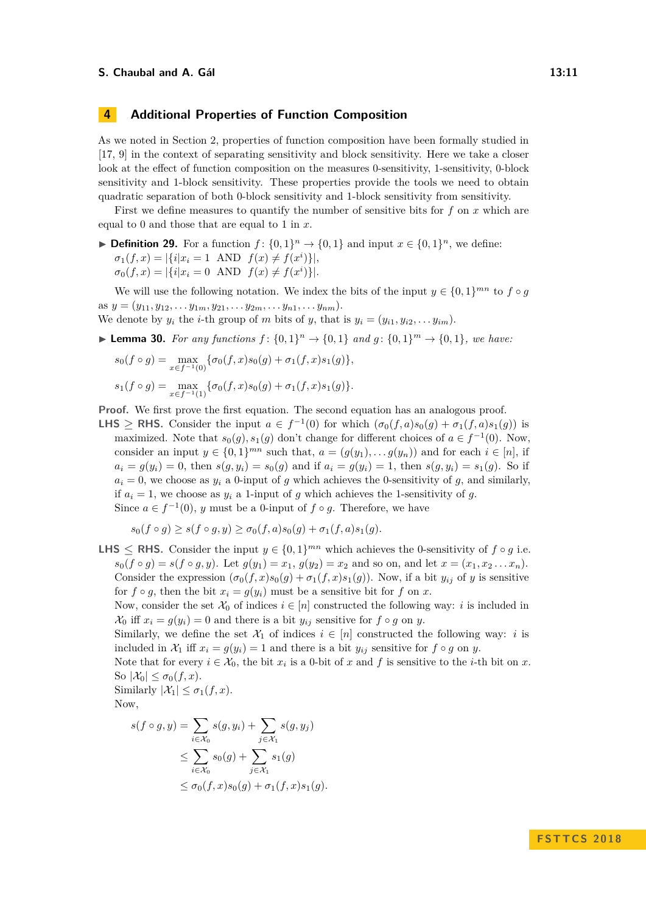## **4 Additional Properties of Function Composition**

As we noted in Section [2,](#page-2-0) properties of function composition have been formally studied in [\[17,](#page-15-4) [9\]](#page-14-14) in the context of separating sensitivity and block sensitivity. Here we take a closer look at the effect of function composition on the measures 0-sensitivity, 1-sensitivity, 0-block sensitivity and 1-block sensitivity. These properties provide the tools we need to obtain quadratic separation of both 0-block sensitivity and 1-block sensitivity from sensitivity.

First we define measures to quantify the number of sensitive bits for *f* on *x* which are equal to 0 and those that are equal to 1 in *x*.

▶ **Definition 29.** For a function  $f: \{0,1\}^n \to \{0,1\}$  and input  $x \in \{0,1\}^n$ , we define:  $\sigma_1(f, x) = |\{i | x_i = 1 \text{ AND } f(x) \neq f(x^i)\}|,$  $\sigma_0(f, x) = |\{i | x_i = 0 \text{ AND } f(x) \neq f(x^i)\}|.$ 

We will use the following notation. We index the bits of the input  $y \in \{0,1\}^{mn}$  to  $f \circ g$ as  $y = (y_{11}, y_{12}, \ldots y_{1m}, y_{21}, \ldots y_{2m}, \ldots y_{n1}, \ldots y_{nm}).$ 

We denote by  $y_i$  the *i*-th group of *m* bits of *y*, that is  $y_i = (y_{i1}, y_{i2}, \ldots, y_{im})$ .

<span id="page-10-0"></span>▶ **Lemma 30.** *For any functions*  $f: \{0, 1\}^n \to \{0, 1\}$  *and*  $g: \{0, 1\}^m \to \{0, 1\}$ *, we have:* 

$$
s_0(f \circ g) = \max_{x \in f^{-1}(0)} \{ \sigma_0(f, x) s_0(g) + \sigma_1(f, x) s_1(g) \},
$$
  

$$
s_1(f \circ g) = \max_{x \in f^{-1}(1)} \{ \sigma_0(f, x) s_0(g) + \sigma_1(f, x) s_1(g) \}.
$$

**Proof.** We first prove the first equation. The second equation has an analogous proof.

**LHS** ≥ **RHS**. Consider the input  $a \in f^{-1}(0)$  for which  $(\sigma_0(f, a)s_0(g) + \sigma_1(f, a)s_1(g))$  is maximized. Note that  $s_0(g)$ ,  $s_1(g)$  don't change for different choices of  $a \in f^{-1}(0)$ . Now, consider an input  $y \in \{0,1\}^{mn}$  such that,  $a = (g(y_1), \ldots g(y_n))$  and for each  $i \in [n]$ , if  $a_i = g(y_i) = 0$ , then  $s(g, y_i) = s_0(g)$  and if  $a_i = g(y_i) = 1$ , then  $s(g, y_i) = s_1(g)$ . So if  $a_i = 0$ , we choose as  $y_i$  a 0-input of *g* which achieves the 0-sensitivity of *g*, and similarly, if  $a_i = 1$ , we choose as  $y_i$  a 1-input of *q* which achieves the 1-sensitivity of *q*. Since  $a \in f^{-1}(0)$ , *y* must be a 0-input of  $f \circ g$ . Therefore, we have

$$
s_0(f \circ g) \ge s(f \circ g, y) \ge \sigma_0(f, a)s_0(g) + \sigma_1(f, a)s_1(g).
$$

**LHS**  $\leq$  **RHS.** Consider the input  $y \in \{0, 1\}^{mn}$  which achieves the 0-sensitivity of  $f \circ g$  i.e.  $s_0(f \circ g) = s(f \circ g, y)$ . Let  $g(y_1) = x_1, g(y_2) = x_2$  and so on, and let  $x = (x_1, x_2, \ldots, x_n)$ . Consider the expression  $(\sigma_0(f, x)s_0(g) + \sigma_1(f, x)s_1(g))$ . Now, if a bit  $y_{ij}$  of *y* is sensitive for  $f \circ g$ , then the bit  $x_i = g(y_i)$  must be a sensitive bit for  $f$  on  $x$ .

Now, consider the set  $\mathcal{X}_0$  of indices  $i \in [n]$  constructed the following way: *i* is included in  $\mathcal{X}_0$  iff  $x_i = g(y_i) = 0$  and there is a bit  $y_{ij}$  sensitive for  $f \circ g$  on  $y$ .

Similarly, we define the set  $\mathcal{X}_1$  of indices  $i \in [n]$  constructed the following way: *i* is included in  $\mathcal{X}_1$  iff  $x_i = g(y_i) = 1$  and there is a bit  $y_{ij}$  sensitive for  $f \circ g$  on  $y$ .

Note that for every  $i \in \mathcal{X}_0$ , the bit  $x_i$  is a 0-bit of  $x$  and  $f$  is sensitive to the *i*-th bit on  $x$ . So  $|\mathcal{X}_0| \leq \sigma_0(f, x)$ .

Similarly  $|\mathcal{X}_1| \leq \sigma_1(f,x)$ . Now,

$$
s(f \circ g, y) = \sum_{i \in \mathcal{X}_0} s(g, y_i) + \sum_{j \in \mathcal{X}_1} s(g, y_j)
$$
  
\n
$$
\leq \sum_{i \in \mathcal{X}_0} s_0(g) + \sum_{j \in \mathcal{X}_1} s_1(g)
$$
  
\n
$$
\leq \sigma_0(f, x) s_0(g) + \sigma_1(f, x) s_1(g).
$$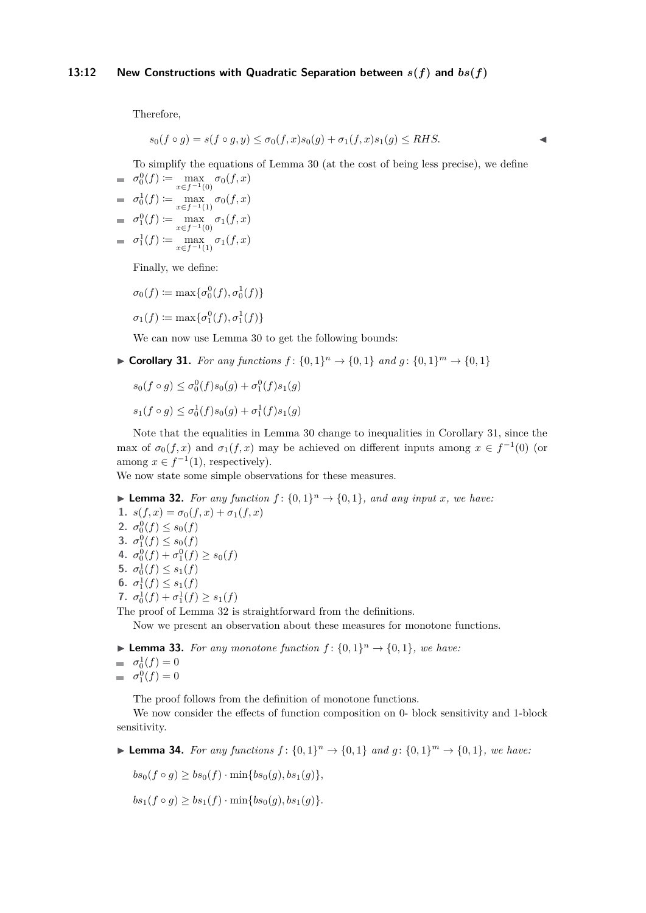#### **13:12 New Constructions with Quadratic Separation between** *s***(***f***) and** *bs***(***f***)**

Therefore,

$$
s_0(f \circ g) = s(f \circ g, y) \le \sigma_0(f, x)s_0(g) + \sigma_1(f, x)s_1(g) \le RHS.
$$

To simplify the equations of Lemma [30](#page-10-0) (at the cost of being less precise), we define

$$
\sigma_0^0(f) := \max_{x \in f^{-1}(0)} \sigma_0(f, x)
$$
  
\n
$$
\sigma_0^1(f) := \max_{x \in f^{-1}(1)} \sigma_0(f, x)
$$
  
\n
$$
\sigma_1^0(f) := \max_{x \in f^{-1}(0)} \sigma_1(f, x)
$$

 $\sigma_1^1(f) := \max_{x \in f^{-1}(1)} \sigma_1(f, x)$ 

Finally, we define:

 $\sigma_0(f) \coloneqq \max\{\sigma_0^0(f), \sigma_0^1(f)\}$ 

$$
\sigma_1(f) \coloneqq \max\{\sigma_1^0(f), \sigma_1^1(f)\}
$$

We can now use Lemma [30](#page-10-0) to get the following bounds:

<span id="page-11-0"></span>▶ Corollary 31. For any functions  $f: \{0,1\}^n \rightarrow \{0,1\}$  and  $g: \{0,1\}^m \rightarrow \{0,1\}$ 

$$
s_0(f \circ g) \le \sigma_0^0(f)s_0(g) + \sigma_1^0(f)s_1(g)
$$
  

$$
s_1(f \circ g) \le \sigma_0^1(f)s_0(g) + \sigma_1^1(f)s_1(g)
$$

Note that the equalities in Lemma [30](#page-10-0) change to inequalities in Corollary [31,](#page-11-0) since the max of  $\sigma_0(f, x)$  and  $\sigma_1(f, x)$  may be achieved on different inputs among  $x \in f^{-1}(0)$  (or among  $x \in f^{-1}(1)$ , respectively).

We now state some simple observations for these measures.

<span id="page-11-1"></span>
$$
\blacktriangleright
$$
 Lemma 32. For any function  $f: \{0,1\}^n \to \{0,1\}$ , and any input x, we have:

**1.**  $s(f, x) = \sigma_0(f, x) + \sigma_1(f, x)$ **2.**  $\sigma_0^0(f) \leq s_0(f)$ **3.**  $\sigma_1^0(f) \leq s_0(f)$ 4.  $\sigma_0^0(f) + \sigma_1^0(f) \ge s_0(f)$ **5.**  $\sigma_0^1(f) \leq s_1(f)$ **6.**  $\sigma_1^1(f) \leq s_1(f)$ **7.**  $\sigma_0^1(f) + \sigma_1^1(f) \geq s_1(f)$ 

The proof of Lemma [32](#page-11-1) is straightforward from the definitions.

Now we present an observation about these measures for monotone functions.

**Example 33.** For any monotone function  $f: \{0, 1\}^n \rightarrow \{0, 1\}$ , we have:

$$
= \sigma_0^1(f) = 0
$$

 $\sigma_1^0(f) = 0$ 

The proof follows from the definition of monotone functions.

We now consider the effects of function composition on 0- block sensitivity and 1-block sensitivity.

<span id="page-11-2"></span>▶ **Lemma 34.** *For any functions*  $f: \{0,1\}^n \rightarrow \{0,1\}$  *and*  $g: \{0,1\}^m \rightarrow \{0,1\}$ *, we have:* 

 $bs_0(f \circ g) \geq bs_0(f) \cdot \min\{bs_0(g), bs_1(g)\},\$ 

 $bs_1(f \circ q) > bs_1(f) \cdot \min\{bs_0(q), bs_1(q)\}.$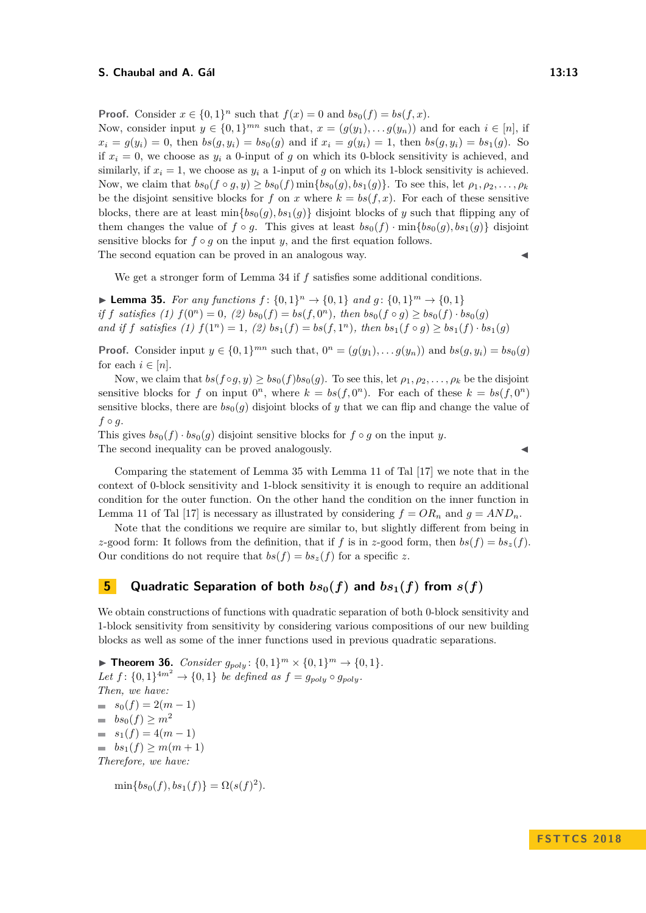**Proof.** Consider  $x \in \{0,1\}^n$  such that  $f(x) = 0$  and  $bs_0(f) = bs(f, x)$ .

Now, consider input  $y \in \{0,1\}^{mn}$  such that,  $x = (g(y_1), \ldots, g(y_n))$  and for each  $i \in [n]$ , if  $x_i = g(y_i) = 0$ , then  $bs(g, y_i) = bs_0(g)$  and if  $x_i = g(y_i) = 1$ , then  $bs(g, y_i) = bs_1(g)$ . So if  $x_i = 0$ , we choose as  $y_i$  a 0-input of g on which its 0-block sensitivity is achieved, and similarly, if  $x_i = 1$ , we choose as  $y_i$  a 1-input of g on which its 1-block sensitivity is achieved. Now, we claim that  $bs_0(f \circ q, y) > bs_0(f) \min\{bs_0(q), bs_1(q)\}\)$ . To see this, let  $\rho_1, \rho_2, \ldots, \rho_k$ be the disjoint sensitive blocks for *f* on *x* where  $k = bs(f, x)$ . For each of these sensitive blocks, there are at least  $\min\{bs_0(q), bs_1(q)\}$  disjoint blocks of *y* such that flipping any of them changes the value of  $f \circ g$ . This gives at least  $bs_0(f) \cdot \min\{bs_0(g), bs_1(g)\}\$  disjoint sensitive blocks for  $f \circ g$  on the input  $y$ , and the first equation follows.

The second equation can be proved in an analogous way.

We get a stronger form of Lemma [34](#page-11-2) if *f* satisfies some additional conditions.

<span id="page-12-0"></span>▶ **Lemma 35.** *For any functions*  $f: \{0, 1\}^n \to \{0, 1\}$  *and*  $g: \{0, 1\}^m \to \{0, 1\}$ *if f satisfies* (1)  $f(0^n) = 0$ , (2)  $bs_0(f) = bs(f, 0^n)$ , then  $bs_0(f \circ g) \ge bs_0(f) \cdot bs_0(g)$ and if f satisfies (1)  $f(1^n) = 1$ , (2)  $bs_1(f) = bs(f, 1^n)$ , then  $bs_1(f \circ g) \ge bs_1(f) \cdot bs_1(g)$ 

**Proof.** Consider input  $y \in \{0, 1\}^{mn}$  such that,  $0^n = (g(y_1), \ldots, g(y_n))$  and  $bs(g, y_i) = bs_0(g)$ for each  $i \in [n]$ .

Now, we claim that  $bs(f \circ g, y) \geq bs_0(f)bs_0(g)$ . To see this, let  $\rho_1, \rho_2, \ldots, \rho_k$  be the disjoint sensitive blocks for *f* on input  $0^n$ , where  $k = bs(f, 0^n)$ . For each of these  $k = bs(f, 0^n)$ sensitive blocks, there are  $bs_0(q)$  disjoint blocks of *y* that we can flip and change the value of  $f \circ g$ .

This gives  $bs_0(f) \cdot bs_0(q)$  disjoint sensitive blocks for  $f \circ q$  on the input *y*. The second inequality can be proved analogously.

Comparing the statement of Lemma [35](#page-12-0) with Lemma [11](#page-3-0) of Tal [\[17\]](#page-15-4) we note that in the context of 0-block sensitivity and 1-block sensitivity it is enough to require an additional condition for the outer function. On the other hand the condition on the inner function in Lemma [11](#page-3-0) of Tal [\[17\]](#page-15-4) is necessary as illustrated by considering  $f = OR_n$  and  $g = AND_n$ .

Note that the conditions we require are similar to, but slightly different from being in *z*-good form: It follows from the definition, that if *f* is in *z*-good form, then  $bs(f) = bs_z(f)$ . Our conditions do not require that  $bs(f) = bs_z(f)$  for a specific z.

## **5 Quadratic Separation of both**  $bs_0(f)$  and  $bs_1(f)$  from  $s(f)$

We obtain constructions of functions with quadratic separation of both 0-block sensitivity and 1-block sensitivity from sensitivity by considering various compositions of our new building blocks as well as some of the inner functions used in previous quadratic separations.

▶ **Theorem 36.** *Consider*  $g_{poly}: \{0, 1\}^m \times \{0, 1\}^m \to \{0, 1\}.$ *Let*  $f: \{0, 1\}$ <sup>4*m*<sup>2</sup></sup>  $\rightarrow \{0, 1\}$  *be defined as*  $f = g_{poly} \circ g_{poly}$ . *Then, we have:*  $s_0(f) = 2(m-1)$  $b s_0(f) \ge m^2$  $= s_1(f) = 4(m-1)$  $\Rightarrow$  *bs*<sub>1</sub>(*f*) > *m*(*m* + 1) *Therefore, we have:*

 $\min\{bs_0(f), bs_1(f)\} = \Omega(s(f)^2).$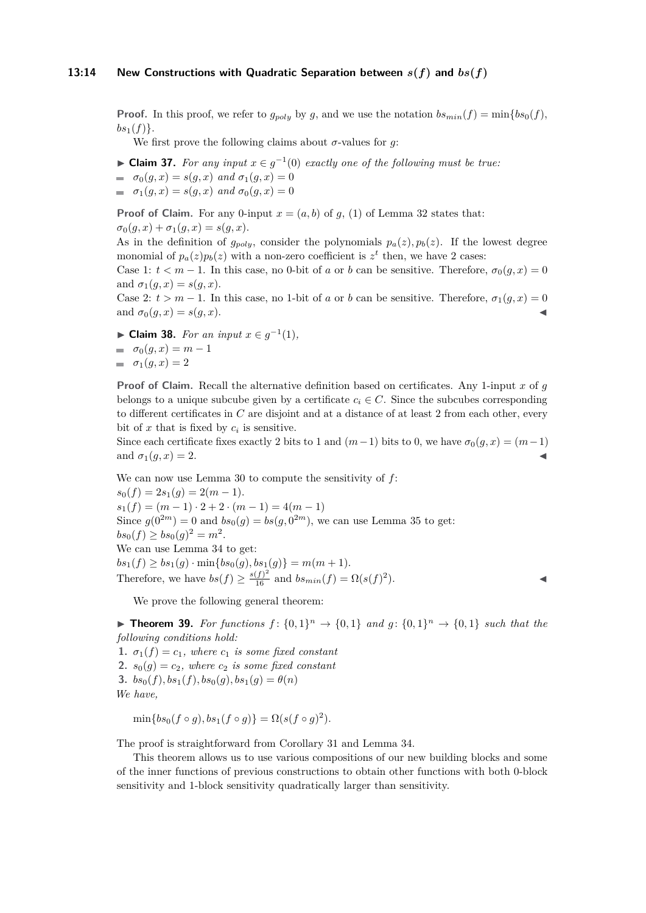#### **13:14** New Constructions with Quadratic Separation between  $s(f)$  and  $bs(f)$

**Proof.** In this proof, we refer to  $g_{poly}$  by *g*, and we use the notation  $bs_{min}(f) = \min\{bs_0(f),\}$  $bs_1(f)$ .

We first prove the following claims about  $\sigma$ -values for  $q$ :

- ► Claim 37. *For any input*  $x \in g^{-1}(0)$  *exactly one of the following must be true:*
- $\sigma_0(g, x) = s(g, x) \text{ and } \sigma_1(g, x) = 0$  $\sigma_1(q, x) = s(q, x)$  *and*  $\sigma_0(q, x) = 0$

**Proof of Claim.** For any 0-input  $x = (a, b)$  of  $g$ , (1) of Lemma [32](#page-11-1) states that:  $\sigma_0(q, x) + \sigma_1(q, x) = s(q, x).$ 

As in the definition of  $g_{poly}$ , consider the polynomials  $p_a(z), p_b(z)$ . If the lowest degree monomial of  $p_a(z)p_b(z)$  with a non-zero coefficient is  $z^t$  then, we have 2 cases:

Case 1:  $t < m-1$ . In this case, no 0-bit of *a* or *b* can be sensitive. Therefore,  $\sigma_0(q, x) = 0$ and  $\sigma_1(g, x) = s(g, x)$ .

Case 2:  $t > m - 1$ . In this case, no 1-bit of *a* or *b* can be sensitive. Therefore,  $\sigma_1(g, x) = 0$ and  $\sigma_0(g, x) = s(g, x)$ .

► **Claim 38.** *For an input*  $x \in g^{-1}(1)$ *,*  $\sigma_0(g, x) = m - 1$  $\sigma_1(g, x) = 2$ 

**Proof of Claim.** Recall the alternative definition based on certificates. Any 1-input *x* of *g* belongs to a unique subcube given by a certificate  $c_i \in C$ . Since the subcubes corresponding to different certificates in *C* are disjoint and at a distance of at least 2 from each other, every bit of  $x$  that is fixed by  $c_i$  is sensitive.

Since each certificate fixes exactly 2 bits to 1 and  $(m-1)$  bits to 0, we have  $\sigma_0(g, x) = (m-1)$ and  $\sigma_1(q, x) = 2$ .

We can now use Lemma [30](#page-10-0) to compute the sensitivity of *f*:  $s_0(f) = 2s_1(g) = 2(m-1).$  $s_1(f) = (m-1) \cdot 2 + 2 \cdot (m-1) = 4(m-1)$ Since  $g(0^{2m}) = 0$  and  $bs_0(g) = bs(g, 0^{2m})$ , we can use Lemma [35](#page-12-0) to get:  $bs_0(f) \geq bs_0(g)^2 = m^2$ . We can use Lemma [34](#page-11-2) to get:  $bs_1(f) \ge bs_1(g) \cdot \min\{bs_0(g), bs_1(g)\} = m(m+1).$ Therefore, we have  $bs(f) \ge \frac{s(f)^2}{16}$  and  $bs_{min}(f) = \Omega(s(f)^2)$  $\blacksquare$ ).

We prove the following general theorem:

**Fineorem 39.** For functions  $f: \{0,1\}^n \to \{0,1\}$  and  $g: \{0,1\}^n \to \{0,1\}$  such that the *following conditions hold:*

**1.**  $\sigma_1(f) = c_1$ *, where*  $c_1$  *is some fixed constant* **2.**  $s_0(q) = c_2$ , where  $c_2$  *is some fixed constant* **3.**  $bs_0(f), bs_1(f), bs_0(g), bs_1(g) = \theta(n)$ *We have,*

$$
\min\{bs_0(f\circ g), bs_1(f\circ g)\} = \Omega(s(f\circ g)^2).
$$

The proof is straightforward from Corollary [31](#page-11-0) and Lemma [34.](#page-11-2)

This theorem allows us to use various compositions of our new building blocks and some of the inner functions of previous constructions to obtain other functions with both 0-block sensitivity and 1-block sensitivity quadratically larger than sensitivity.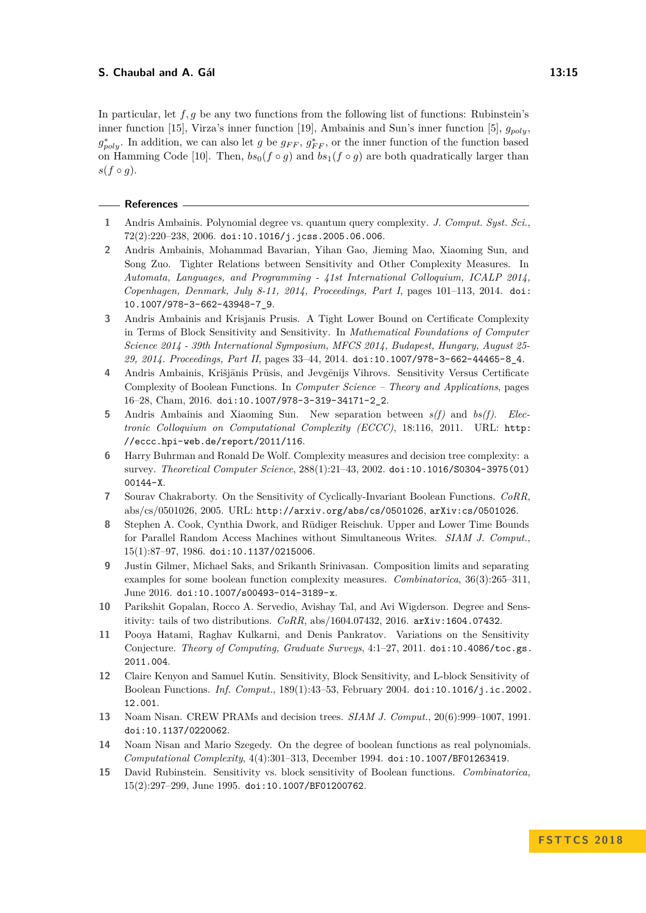In particular, let *f, g* be any two functions from the following list of functions: Rubinstein's inner function [\[15\]](#page-14-8), Virza's inner function [\[19\]](#page-15-2), Ambainis and Sun's inner function [\[5\]](#page-14-11), *gpoly*,  $g_{poly}^*$ . In addition, we can also let *g* be  $g_{FF}$ ,  $g_{FF}^*$ , or the inner function of the function based on Hamming Code [\[10\]](#page-14-10). Then,  $bs_0(f \circ g)$  and  $bs_1(f \circ g)$  are both quadratically larger than  $s(f \circ g)$ .

#### **References**

- <span id="page-14-13"></span>**1** Andris Ambainis. Polynomial degree vs. quantum query complexity. *J. Comput. Syst. Sci.*,  $72(2):220-238, 2006.$  [doi:10.1016/j.jcss.2005.06.006](http://dx.doi.org/10.1016/j.jcss.2005.06.006).
- <span id="page-14-5"></span>**2** Andris Ambainis, Mohammad Bavarian, Yihan Gao, Jieming Mao, Xiaoming Sun, and Song Zuo. Tighter Relations between Sensitivity and Other Complexity Measures. In *Automata, Languages, and Programming - 41st International Colloquium, ICALP 2014, Copenhagen, Denmark, July 8-11, 2014, Proceedings, Part I*, pages 101–113, 2014. [doi:](http://dx.doi.org/10.1007/978-3-662-43948-7_9) [10.1007/978-3-662-43948-7\\_9](http://dx.doi.org/10.1007/978-3-662-43948-7_9).
- <span id="page-14-12"></span>**3** Andris Ambainis and Krisjanis Prusis. A Tight Lower Bound on Certificate Complexity in Terms of Block Sensitivity and Sensitivity. In *Mathematical Foundations of Computer Science 2014 - 39th International Symposium, MFCS 2014, Budapest, Hungary, August 25- 29, 2014. Proceedings, Part II*, pages 33–44, 2014. [doi:10.1007/978-3-662-44465-8\\_4](http://dx.doi.org/10.1007/978-3-662-44465-8_4).
- <span id="page-14-6"></span>4 Andris Ambainis, Krišjānis Prūsis, and Jevgēnijs Vihrovs. Sensitivity Versus Certificate Complexity of Boolean Functions. In *Computer Science – Theory and Applications*, pages 16–28, Cham, 2016. [doi:10.1007/978-3-319-34171-2\\_2](http://dx.doi.org/10.1007/978-3-319-34171-2_2).
- <span id="page-14-11"></span>**5** Andris Ambainis and Xiaoming Sun. New separation between *s(f)* and *bs(f)*. *Electronic Colloquium on Computational Complexity (ECCC)*, 18:116, 2011. URL: [http:](http://eccc.hpi-web.de/report/2011/116) [//eccc.hpi-web.de/report/2011/116](http://eccc.hpi-web.de/report/2011/116).
- <span id="page-14-3"></span>**6** Harry Buhrman and Ronald De Wolf. Complexity measures and decision tree complexity: a survey. *Theoretical Computer Science*, 288(1):21–43, 2002. [doi:10.1016/S0304-3975\(01\)](http://dx.doi.org/10.1016/S0304-3975(01)00144-X) [00144-X](http://dx.doi.org/10.1016/S0304-3975(01)00144-X).
- <span id="page-14-9"></span>**7** Sourav Chakraborty. On the Sensitivity of Cyclically-Invariant Boolean Functions. *CoRR*, abs/cs/0501026, 2005. URL: <http://arxiv.org/abs/cs/0501026>, [arXiv:cs/0501026](http://arxiv.org/abs/cs/0501026).
- <span id="page-14-1"></span>**8** Stephen A. Cook, Cynthia Dwork, and Rüdiger Reischuk. Upper and Lower Time Bounds for Parallel Random Access Machines without Simultaneous Writes. *SIAM J. Comput.*, 15(1):87–97, 1986. [doi:10.1137/0215006](http://dx.doi.org/10.1137/0215006).
- <span id="page-14-14"></span>**9** Justin Gilmer, Michael Saks, and Srikanth Srinivasan. Composition limits and separating examples for some boolean function complexity measures. *Combinatorica*, 36(3):265–311, June 2016. [doi:10.1007/s00493-014-3189-x](http://dx.doi.org/10.1007/s00493-014-3189-x).
- <span id="page-14-10"></span>**10** Parikshit Gopalan, Rocco A. Servedio, Avishay Tal, and Avi Wigderson. Degree and Sensitivity: tails of two distributions. *CoRR*, abs/1604.07432, 2016. [arXiv:1604.07432](http://arxiv.org/abs/1604.07432).
- <span id="page-14-4"></span>**11** Pooya Hatami, Raghav Kulkarni, and Denis Pankratov. Variations on the Sensitivity Conjecture. *Theory of Computing, Graduate Surveys*, 4:1–27, 2011. [doi:10.4086/toc.gs.](http://dx.doi.org/10.4086/toc.gs.2011.004) [2011.004](http://dx.doi.org/10.4086/toc.gs.2011.004).
- <span id="page-14-7"></span>**12** Claire Kenyon and Samuel Kutin. Sensitivity, Block Sensitivity, and L-block Sensitivity of Boolean Functions. *Inf. Comput.*, 189(1):43–53, February 2004. [doi:10.1016/j.ic.2002.](http://dx.doi.org/10.1016/j.ic.2002.12.001) [12.001](http://dx.doi.org/10.1016/j.ic.2002.12.001).
- <span id="page-14-2"></span>**13** Noam Nisan. CREW PRAMs and decision trees. *SIAM J. Comput.*, 20(6):999–1007, 1991. [doi:10.1137/0220062](http://dx.doi.org/10.1137/0220062).
- <span id="page-14-0"></span>**14** Noam Nisan and Mario Szegedy. On the degree of boolean functions as real polynomials. *Computational Complexity*, 4(4):301–313, December 1994. [doi:10.1007/BF01263419](http://dx.doi.org/10.1007/BF01263419).
- <span id="page-14-8"></span>**15** David Rubinstein. Sensitivity vs. block sensitivity of Boolean functions. *Combinatorica*, 15(2):297–299, June 1995. [doi:10.1007/BF01200762](http://dx.doi.org/10.1007/BF01200762).